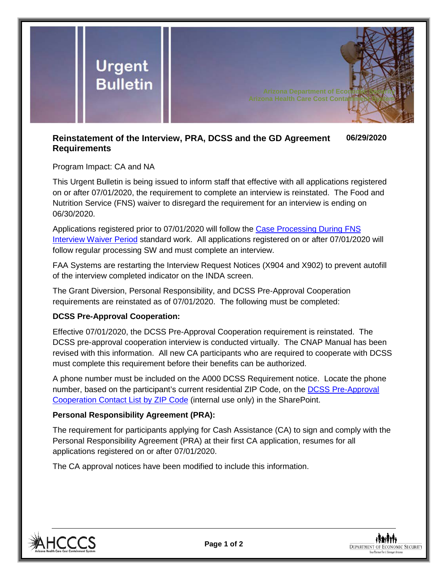

#### **Reinstatement of the Interview, PRA, DCSS and the GD Agreement Requirements 06/29/2020**

# Program Impact: CA and NA

This Urgent Bulletin is being issued to inform staff that effective with all applications registered on or after 07/01/2020, the requirement to complete an interview is reinstated. The Food and Nutrition Service (FNS) waiver to disregard the requirement for an interview is ending on 06/30/2020.

Applications registered prior to 07/01/2020 will follow the [Case Processing During FNS](https://dbmefaapolicy.azdes.gov/Archived_Policy/baggage/Case_Processing_Without_Interview_Standard_Work.pdf)  [Interview Waiver Period](https://dbmefaapolicy.azdes.gov/Archived_Policy/baggage/Case_Processing_Without_Interview_Standard_Work.pdf) standard work. All applications registered on or after 07/01/2020 will follow regular processing SW and must complete an interview.

FAA Systems are restarting the Interview Request Notices (X904 and X902) to prevent autofill of the interview completed indicator on the INDA screen.

The Grant Diversion, Personal Responsibility, and DCSS Pre-Approval Cooperation requirements are reinstated as of 07/01/2020. The following must be completed:

# **DCSS Pre-Approval Cooperation:**

Effective 07/01/2020, the DCSS Pre-Approval Cooperation requirement is reinstated. The DCSS pre-approval cooperation interview is conducted virtually. The CNAP Manual has been revised with this information. All new CA participants who are required to cooperate with DCSS must complete this requirement before their benefits can be authorized.

A phone number must be included on the A000 DCSS Requirement notice. Locate the phone number, based on the participant's current residential ZIP Code, on the [DCSS Pre-Approval](https://azdes.sharepoint.com/:x:/r/sites/PRG001L1/HPD24GAC/HJA42VZK/ZVB82BKU/DEN64MAJ/Site%20Doc%20Library/DCSS_Pre-Approval_Cooperation_Contact_List_by_ZIP_Code.xlsx?d=wf0e305e48d6d4a41a7e0e87cdd16a5a7&csf=1&web=1)  [Cooperation Contact List by ZIP Code](https://azdes.sharepoint.com/:x:/r/sites/PRG001L1/HPD24GAC/HJA42VZK/ZVB82BKU/DEN64MAJ/Site%20Doc%20Library/DCSS_Pre-Approval_Cooperation_Contact_List_by_ZIP_Code.xlsx?d=wf0e305e48d6d4a41a7e0e87cdd16a5a7&csf=1&web=1) (internal use only) in the SharePoint.

### **Personal Responsibility Agreement (PRA):**

The requirement for participants applying for Cash Assistance (CA) to sign and comply with the Personal Responsibility Agreement (PRA) at their first CA application, resumes for all applications registered on or after 07/01/2020.

The CA approval notices have been modified to include this information.